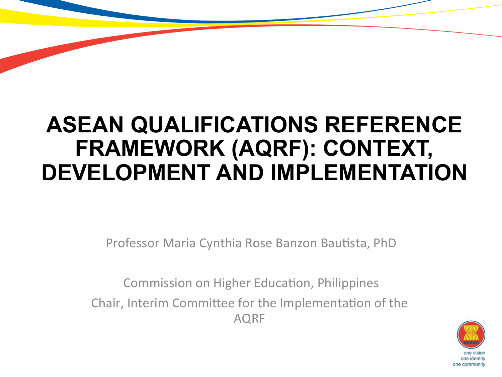### **ASEAN QUALIFICATIONS REFERENCE FRAMEWORK (AQRF): CONTEXT, DEVELOPMENT AND IMPLEMENTATION**

Professor Maria Cynthia Rose Banzon Bautista, PhD

Commission on Higher Education, Philippines Chair, Interim Committee for the Implementation of the AQRF 

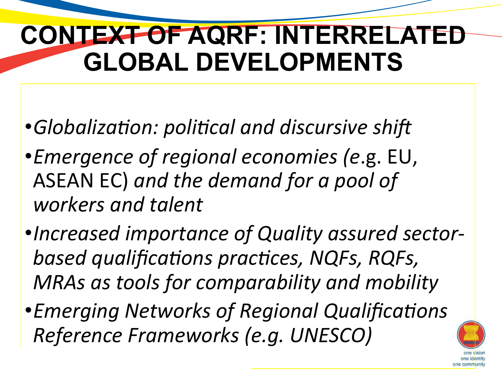## **CONTEXT OF AQRF: INTERRELATED GLOBAL DEVELOPMENTS**

- •*Globalization: political and discursive shift*
- •*Emergence of regional economies (e*.g. EU, ASEAN EC) and the demand for a pool of workers and talent
- •Increased importance of Quality assured sectorbased qualifications practices, NQFs, RQFs, *MRAs as tools for comparability and mobility*
- *Emerging Networks of Regional Qualifications Reference Frameworks (e.g. UNESCO)*

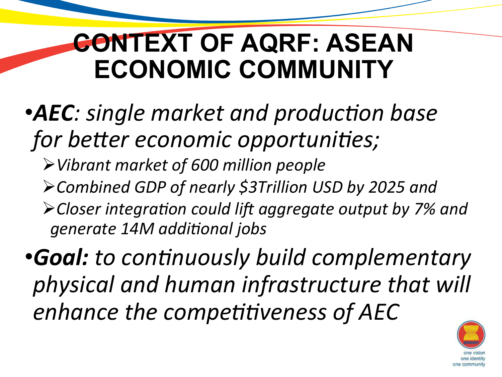## **CONTEXT OF AQRF: ASEAN ECONOMIC COMMUNITY**

- •**AEC**: single market and production base *for better economic opportunities;* 
	- Ø*Vibrant market of 600 million people*
	- Ø*Combined GDP of nearly \$3Trillion USD by 2025 and*
	- $\blacktriangleright$  Closer integration could lift aggregate output by 7% and generate 14M additional jobs

**•Goal:** to continuously build complementary *physical and human infrastructure that will*  enhance the competitiveness of AEC

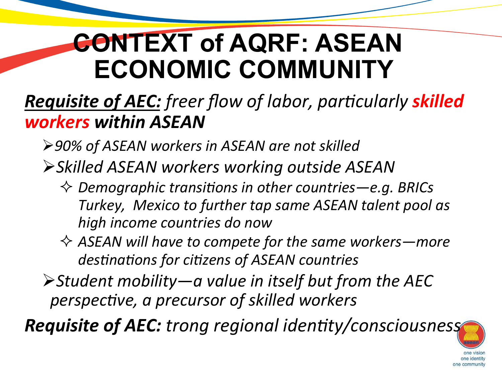## **CONTEXT of AQRF: ASEAN ECONOMIC COMMUNITY**

#### *Requisite of AEC: freer flow of labor, particularly skilled workers within ASEAN*

- **≻90% of ASEAN workers in ASEAN are not skilled**
- Ø*Skilled ASEAN workers working outside ASEAN* 
	- $\Diamond$  Demographic transitions in other countries—e.g. BRICs Turkey, Mexico to further tap same ASEAN talent pool as *high income countries do now*
	- $\Diamond$  ASEAN will have to compete for the same workers—more destinations for citizens of ASEAN countries
- $\triangleright$  Student mobility—a value in itself but from the AEC perspective, a precursor of skilled workers

**Requisite of AEC:** trong regional identity/consciousness

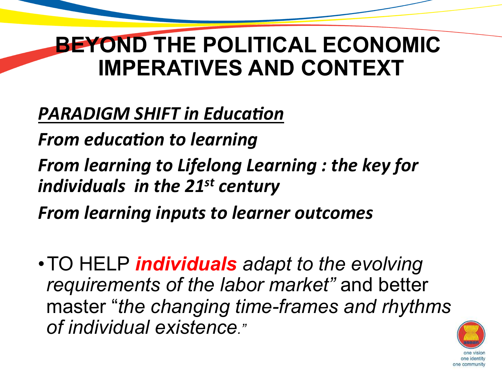### **BEYOND THE POLITICAL ECONOMIC IMPERATIVES AND CONTEXT**

#### **PARADIGM SHIFT in Education**

**From education to learning** 

*From learning to Lifelong Learning : the key for individuals in the 21st century* 

**From learning inputs to learner outcomes** 

•TO HELP *individuals adapt to the evolving requirements of the labor market"* and better master "*the changing time-frames and rhythms of individual existence."*

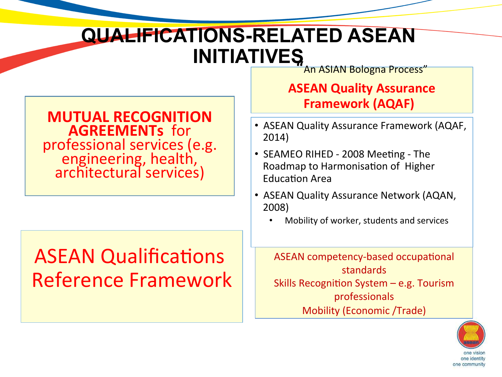### **QUALIFICATIONS-RELATED ASEAN INITIATIVES**<br>An ASIAN Bologna Process"

#### **MUTUAL RECOGNITION AGREEMENTs** for professional services (e.g.<br>
engineering, health, architectural services)

### **ASEAN Qualifications** Reference Framework

#### **ASEAN Quality Assurance Framework (AQAF)**

- ASEAN Quality Assurance Framework (AQAF, 2014)
- SEAMEO RIHED 2008 Meeting The Roadmap to Harmonisation of Higher **Education Area**
- ASEAN Quality Assurance Network (AQAN, 2008)
	- Mobility of worker, students and services

ASEAN competency-based occupational standards Skills Recognition System  $-$  e.g. Tourism professionals Mobility (Economic /Trade)

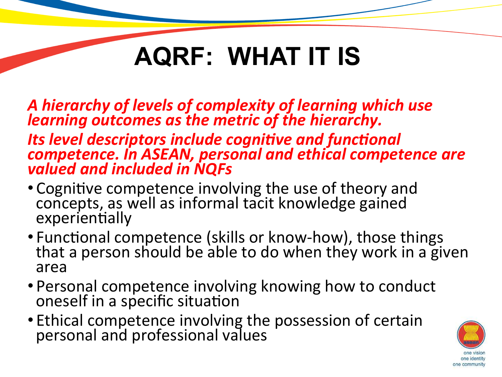*A hierarchy of levels of complexity of learning which use learning outcomes as the metric of the hierarchy.* 

**Its level descriptors include cognitive and functional** *competence. In ASEAN, personal and ethical competence are* valued and included in NQFs

- Cognitive competence involving the use of theory and concepts, as well as informal tacit knowledge gained experientially
- Functional competence (skills or know-how), those things that a person should be able to do when they work in a given area
- Personal competence involving knowing how to conduct oneself in a specific situation
- Ethical competence involving the possession of certain personal and professional values

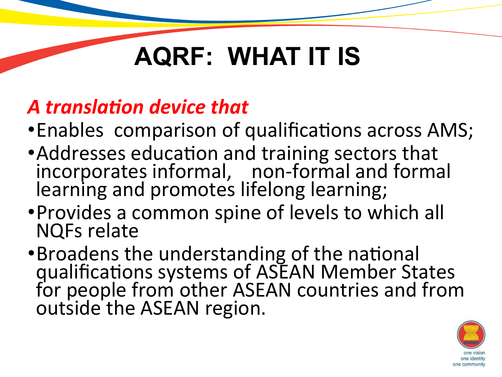### A *translation device that*

- Enables comparison of qualifications across AMS;
- Addresses education and training sectors that incorporates informal, non-formal and formal learning and promotes lifelong learning;
- Provides a common spine of levels to which all **NQFs** relate
- •Broadens the understanding of the national qualifications systems of ASEAN Member States for people from other ASEAN countries and from outside the ASEAN region.

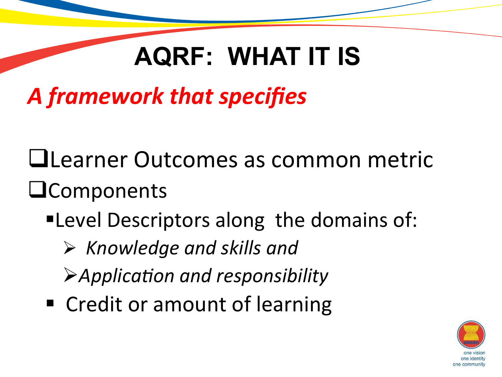## *A framework that specifies*

- **QLearner Outcomes as common metric**  $\square$ Components
	- ■Level Descriptors along the domains of:
		- $\triangleright$  Knowledge and skills and
		- Application and responsibility
	- Credit or amount of learning

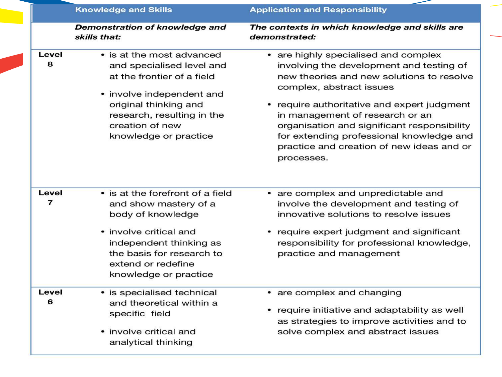|                         | <b>Knowledge and Skills</b>                                                                                                                                                                                          | <b>Application and Responsibility</b>                                                                                                                                                                                                                                                                                                                                                           |
|-------------------------|----------------------------------------------------------------------------------------------------------------------------------------------------------------------------------------------------------------------|-------------------------------------------------------------------------------------------------------------------------------------------------------------------------------------------------------------------------------------------------------------------------------------------------------------------------------------------------------------------------------------------------|
|                         | Demonstration of knowledge and<br>skills that:                                                                                                                                                                       | The contexts in which knowledge and skills are<br>demonstrated:                                                                                                                                                                                                                                                                                                                                 |
| Level<br>8              | • is at the most advanced<br>and specialised level and<br>at the frontier of a field<br>• involve independent and<br>original thinking and<br>research, resulting in the<br>creation of new<br>knowledge or practice | • are highly specialised and complex<br>involving the development and testing of<br>new theories and new solutions to resolve<br>complex, abstract issues<br>require authoritative and expert judgment<br>in management of research or an<br>organisation and significant responsibility<br>for extending professional knowledge and<br>practice and creation of new ideas and or<br>processes. |
| Level<br>$\overline{7}$ | • is at the forefront of a field<br>and show mastery of a<br>body of knowledge<br>• involve critical and<br>independent thinking as<br>the basis for research to<br>extend or redefine<br>knowledge or practice      | • are complex and unpredictable and<br>involve the development and testing of<br>innovative solutions to resolve issues<br>• require expert judgment and significant<br>responsibility for professional knowledge,<br>practice and management                                                                                                                                                   |
| Level<br>6              | • is specialised technical<br>and theoretical within a<br>specific field<br>• involve critical and<br>analytical thinking                                                                                            | • are complex and changing<br>require initiative and adaptability as well<br>as strategies to improve activities and to<br>solve complex and abstract issues                                                                                                                                                                                                                                    |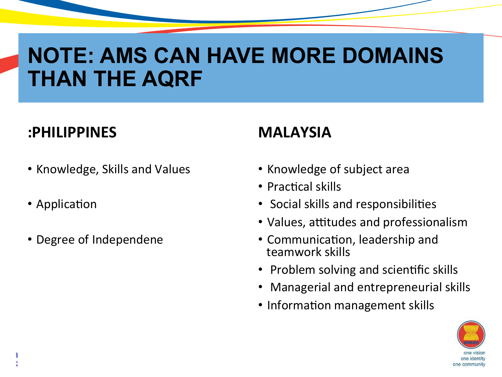### **NOTE: AMS CAN HAVE MORE DOMAINS THAN THE AQRF**

#### **:PHILIPPINES**

• Knowledge, Skills and Values

**Eleventh ASEAN Senior Officials Meeting on Education (11th SOM-ED)**

• Application

**23 May 2016 | Selangor, Malaysia**

• Degree of Independene

#### **MALAYSIA**

- Knowledge of subject area
- Practical skills
- Social skills and responsibilities
- Values, attitudes and professionalism
- Communication, leadership and teamwork skills
- Problem solving and scientific skills
- Managerial and entrepreneurial skills
- Information management skills

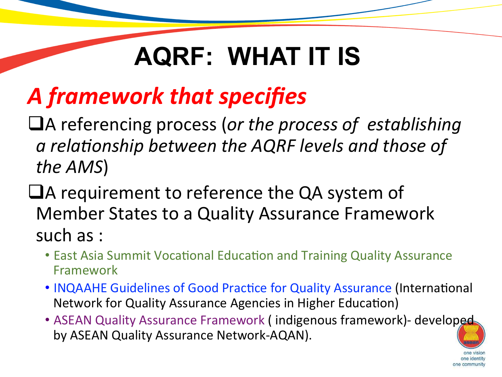## *A framework that specifies*

- $\Box$ A referencing process (or the process of establishing a relationship between the AQRF levels and those of the AMS)
- $\Box$ A requirement to reference the QA system of Member States to a Quality Assurance Framework such as :
	- East Asia Summit Vocational Education and Training Quality Assurance Framework
	- INQAAHE Guidelines of Good Practice for Quality Assurance (International Network for Quality Assurance Agencies in Higher Education)
	- ASEAN Quality Assurance Framework (indigenous framework)- developed by ASEAN Quality Assurance Network-AQAN).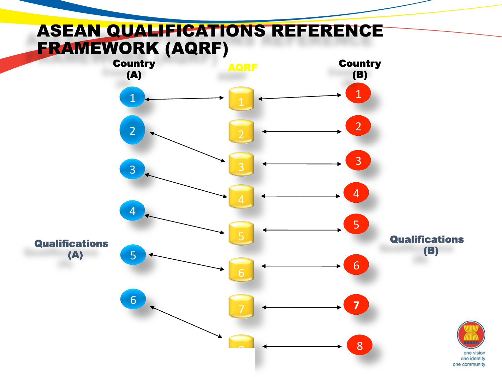#### ASEAN QUALIFICATIONS REFERENCE FRAMEWORK (AQRF)

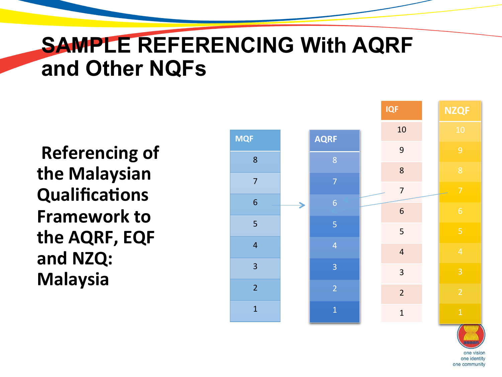### **SAMPLE REFERENCING With AQRF and Other NQFs**

**Referencing of the Malaysian Qualifications Framework to the AQRF, EQF** and NZQ: **Malaysia** 



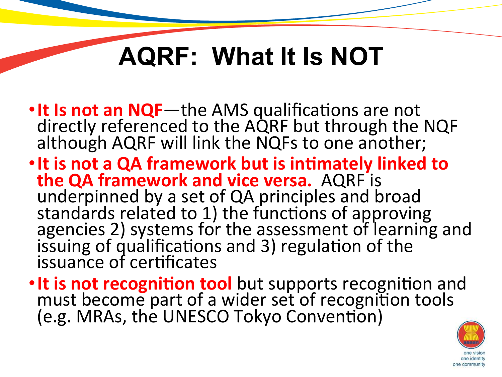## **AQRF: What It Is NOT**

- **It Is not an NQF**—the AMS qualifications are not directly referenced to the AQRF but through the NQF although AQRF will link the NQFs to one another;
- It is not a QA framework but is intimately linked to **the QA framework and vice versa.** AQRF is underpinned by a set of QA principles and broad standards related to 1) the functions of approving agencies 2) systems for the assessment of learning and issuing of qualifications and 3) regulation of the issuance of certificates
- It is not recognition tool but supports recognition and<br>must become part of a wider set of recognition tools (e.g. MRAs, the UNESCO Tokyo Convention)

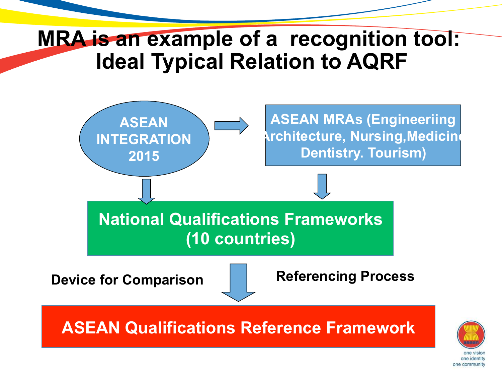### **MRA is an example of a recognition tool: Ideal Typical Relation to AQRF**



one community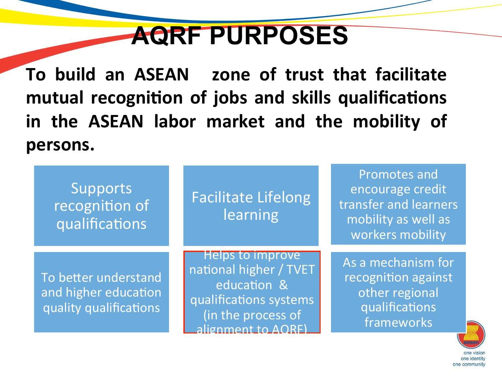## **AQRF PURPOSES**

**To build an ASEAN zone of trust that facilitate** mutual recognition of jobs and skills qualifications in the ASEAN labor market and the mobility of **persons.** 

| Supports<br>recognition of<br>qualifications                           | <b>Facilitate Lifelong</b><br>learning                                                                                         | <b>Promotes and</b><br>encourage credit<br>transfer and learners<br>mobility as well as<br>workers mobility |
|------------------------------------------------------------------------|--------------------------------------------------------------------------------------------------------------------------------|-------------------------------------------------------------------------------------------------------------|
| To better understand<br>and higher education<br>quality qualifications | Helps to improve<br>national higher / TVET<br>education &<br>qualifications systems<br>(in the process of<br>alignment to AORE | As a mechanism for<br>recognition against<br>other regional<br>qualifications<br>frameworks                 |

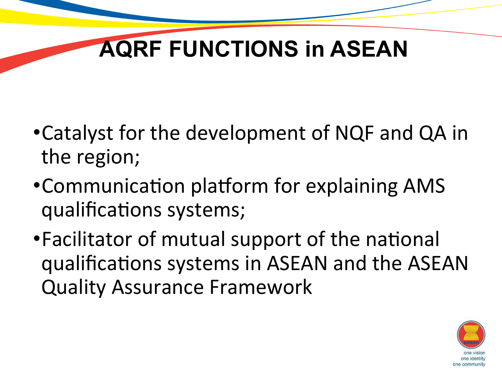## **AQRF FUNCTIONS in ASEAN**

- Catalyst for the development of NQF and QA in the region;
- Communication platform for explaining AMS qualifications systems;
- Facilitator of mutual support of the national qualifications systems in ASEAN and the ASEAN Quality Assurance Framework

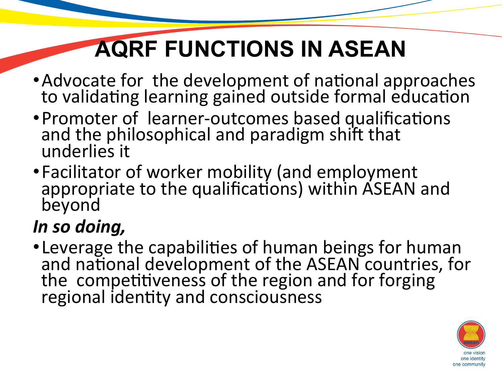## **AQRF FUNCTIONS IN ASEAN**

- Advocate for the development of national approaches to validating learning gained outside formal education
- Promoter of learner-outcomes based qualifications and the philosophical and paradigm shift that underlies it
- Facilitator of worker mobility (and employment appropriate to the qualifications) within ASEAN and beyond

#### In so doing,

• Leverage the capabilities of human beings for human and national development of the ASEAN countries, for the competitiveness of the region and for forging regional identity and consciousness

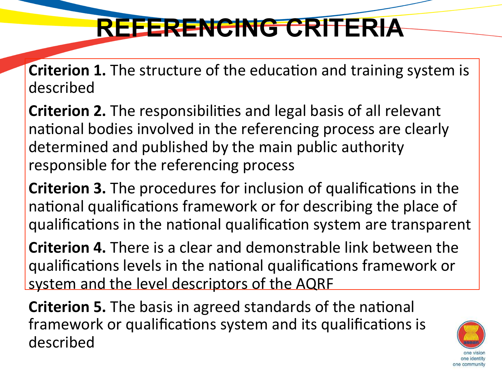## **REFERENCING CRITERIA**

**Criterion 1.** The structure of the education and training system is described 

**Criterion 2.** The responsibilities and legal basis of all relevant national bodies involved in the referencing process are clearly determined and published by the main public authority responsible for the referencing process

**Criterion 3.** The procedures for inclusion of qualifications in the national qualifications framework or for describing the place of qualifications in the national qualification system are transparent

**Criterion 4.** There is a clear and demonstrable link between the qualifications levels in the national qualifications framework or system and the level descriptors of the AQRF

**Criterion 5.** The basis in agreed standards of the national framework or qualifications system and its qualifications is described 

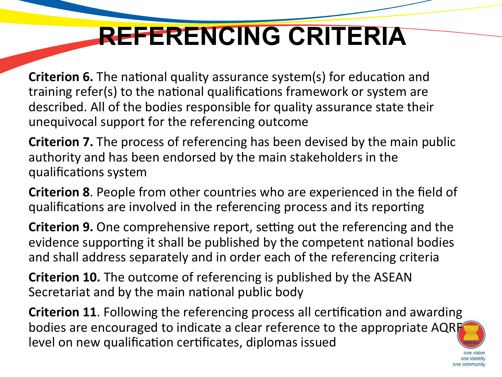## **REFERENCING CRITERIA**

**Criterion 6.** The national quality assurance system(s) for education and training refer(s) to the national qualifications framework or system are described. All of the bodies responsible for quality assurance state their unequivocal support for the referencing outcome

**Criterion 7.** The process of referencing has been devised by the main public authority and has been endorsed by the main stakeholders in the qualifications system

**Criterion 8.** People from other countries who are experienced in the field of qualifications are involved in the referencing process and its reporting

**Criterion 9.** One comprehensive report, setting out the referencing and the evidence supporting it shall be published by the competent national bodies and shall address separately and in order each of the referencing criteria

**Criterion 10.** The outcome of referencing is published by the ASEAN Secretariat and by the main national public body

**Criterion 11**. Following the referencing process all certification and awarding bodies are encouraged to indicate a clear reference to the appropriate AQR level on new qualification certificates, diplomas issued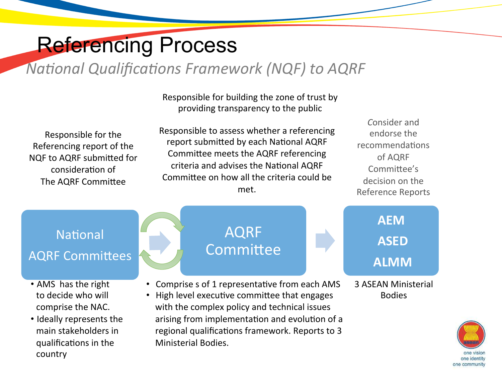### Referencing Process

#### *National Qualifications Framework (NQF) to AQRF*

Responsible for building the zone of trust by providing transparency to the public

Responsible for the Referencing report of the NQF to AQRF submitted for consideration of The AQRF Committee

Responsible to assess whether a referencing report submitted by each National AQRF Committee meets the AQRF referencing criteria and advises the National AQRF Committee on how all the criteria could be met.

*C*onsider and endorse the recommendations of AQRF Committee's decision on the Reference Reports

#### National

#### **AQRF Committees**

- AMS has the right to decide who will comprise the NAC.
- **Eleventh Association (11th Some Education Some Education Some Education Some Education Some Education Some Edu** • Ideally represents the main stakeholders in qualifications in the

#### AQRF Committee

- Comprise s of 1 representative from each AMS
- High level executive committee that engages with the complex policy and technical issues arising from implementation and evolution of a regional qualifications framework. Reports to 3 Ministerial Bodies.

#### **AEM ASED ALMM**

3 ASEAN Ministerial Bodies 

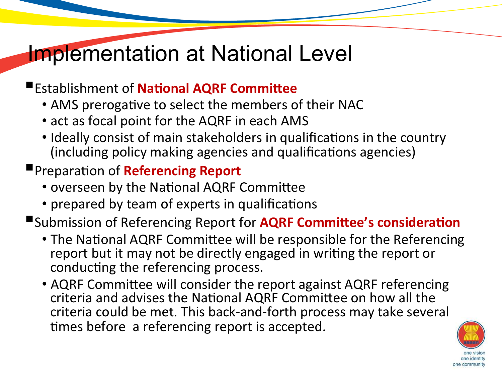### Implementation at National Level

#### **Establishment of National AQRF Committee**

- AMS prerogative to select the members of their NAC
- act as focal point for the AQRF in each AMS
- Ideally consist of main stakeholders in qualifications in the country (including policy making agencies and qualifications agencies)
- **Preparation of Referencing Report** 
	- overseen by the National AQRF Committee
	- prepared by team of experts in qualifications

■Submission of Referencing Report for **AQRF Committee's consideration** 

- The National AQRF Committee will be responsible for the Referencing report but it may not be directly engaged in writing the report or conducting the referencing process.
- AQRF Committee will consider the report against AQRF referencing criteria and advises the National AQRF Committee on how all the criteria could be met. This back-and-forth process may take several times before a referencing report is accepted.

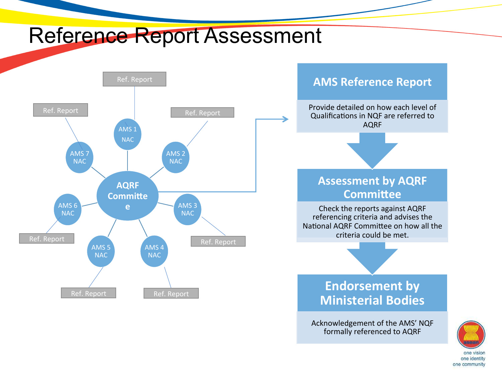### Reference Report Assessment



#### **AMS Reference Report**

Provide detailed on how each level of Qualifications in NQF are referred to AQRF

#### **Assessment by AQRF Committee**

Check the reports against AQRF referencing criteria and advises the National AQRF Committee on how all the criteria could be met.

#### **Endorsement by Ministerial Bodies**

Acknowledgement of the AMS' NQF formally referenced to AQRF

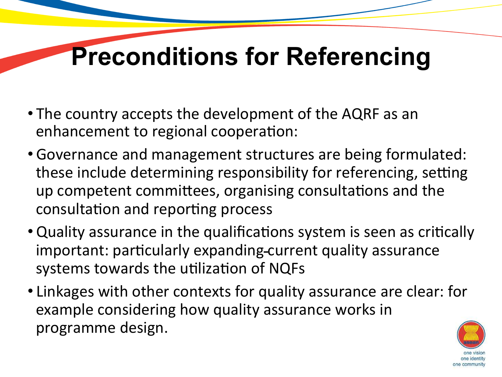## **Preconditions for Referencing**

- The country accepts the development of the AQRF as an enhancement to regional cooperation:
- Governance and management structures are being formulated: these include determining responsibility for referencing, setting up competent committees, organising consultations and the consultation and reporting process
- Quality assurance in the qualifications system is seen as critically important: particularly expanding-current quality assurance systems towards the utilization of NQFs
- Linkages with other contexts for quality assurance are clear: for example considering how quality assurance works in programme design.

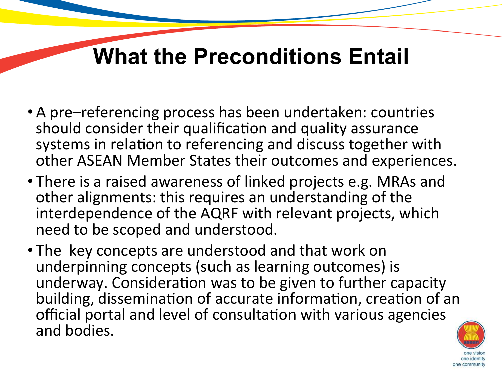### **What the Preconditions Entail**

- A pre–referencing process has been undertaken: countries should consider their qualification and quality assurance systems in relation to referencing and discuss together with other ASEAN Member States their outcomes and experiences.
- There is a raised awareness of linked projects e.g. MRAs and other alignments: this requires an understanding of the interdependence of the AQRF with relevant projects, which need to be scoped and understood.
- The key concepts are understood and that work on underpinning concepts (such as learning outcomes) is underway. Consideration was to be given to further capacity building, dissemination of accurate information, creation of an official portal and level of consultation with various agencies and bodies.

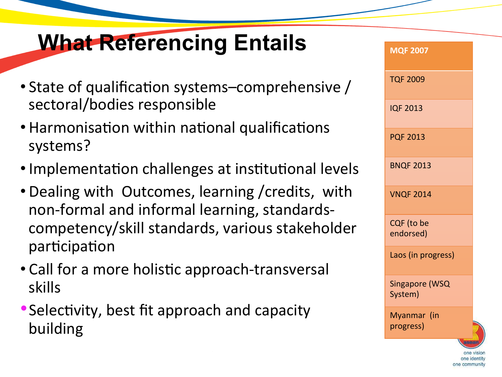## **What Referencing Entails**

- State of qualification systems–comprehensive / sectoral/bodies responsible against it?
- Harmonisation within national qualifications systems?
- Implementation challenges at institutional levels
- Dealing with Outcomes, learning / credits, with non-formal and informal learning, standardscompetency/skill standards, various stakeholder participation
- Call for a more holistic approach-transversal skills
- Selectivity, best fit approach and capacity building

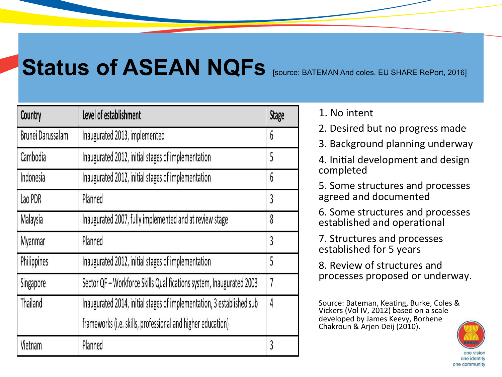## **Status of ASEAN NQFS** [SOUrce: BATEMAN And coles. EU SHARE RePort, 2016]

| Country           | Level of establishment                                                | <b>Stage</b> |
|-------------------|-----------------------------------------------------------------------|--------------|
| Brunei Darussalam | Inaugurated 2013, implemented                                         | 6            |
| Cambodia          | Inaugurated 2012, initial stages of implementation                    | 5            |
| Indonesia         | Inaugurated 2012, initial stages of implementation                    | 6            |
| Lao PDR           | Planned                                                               | 3            |
| Malaysia          | Inaugurated 2007, fully implemented and at review stage               | 8            |
| Myanmar           | Planned                                                               | 3            |
| Philippines       | Inaugurated 2012, initial stages of implementation                    | 5            |
| Singapore         | Sector QF - Workforce Skills Qualifications system, Inaugurated 2003  | 7            |
| Thailand          | Inaugurated 2014, initial stages of implementation, 3 established sub | 4            |
|                   | frameworks (i.e. skills, professional and higher education)           |              |
| Vietnam           | Planned                                                               | 3            |

1. No intent

2. Desired but no progress made

3. Background planning underway

4. Initial development and design completed

5. Some structures and processes agreed and documented

6. Some structures and processes established and operational

7. Structures and processes established for 5 years

8. Review of structures and processes proposed or underway.

Source: Bateman, Keating, Burke, Coles & Vickers (Vol IV, 2012) based on a scale developed by James Keevy, Borhene Chakroun & Arjen Deij (2010).

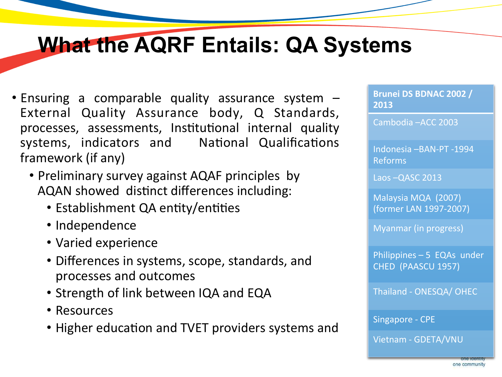### **What the AQRF Entails: QA Systems**

- Ensuring a comparable quality assurance system  $-$ External Quality Assurance body, Q Standards, processes, assessments, Institutional internal quality systems, indicators and National Qualifications framework (if any)
	- Preliminary survey against AQAF principles by AQAN showed distinct differences including:
		- Establishment QA entity/entities
		- Independence
		- Varied experience
		- Differences in systems, scope, standards, and processes and outcomes
		- Strength of link between IQA and EQA
		- Resources
		- Higher education and TVET providers systems and

Brunei DS BDNAC 2002 / **2013**

Cambodia - ACC 2003

Indonesia -BAN-PT -1994 Reforms 

Laos - QASC 2013

Malaysia MQA (2007) (former LAN 1997-2007) 

Myanmar (in progress)

Philippines  $-5$  EQAs under CHED (PAASCU 1957)

Thailand - ONESQA/ OHEC

Singapore - CPE

Vietnam - GDETA/VNU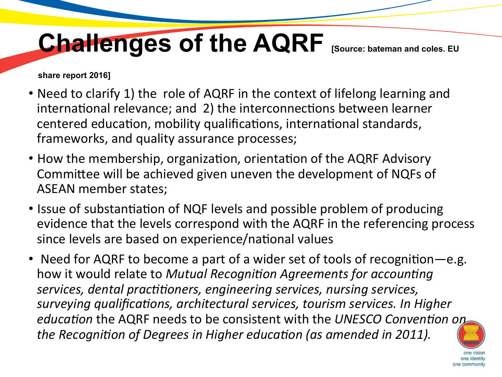## Challenges of the AQRF [Source: bateman and coles. EU

**share report 2016]** 

- Need to clarify 1) the role of AQRF in the context of lifelong learning and international relevance; and 2) the interconnections between learner centered education, mobility qualifications, international standards, frameworks, and quality assurance processes;
- How the membership, organization, orientation of the AQRF Advisory Committee will be achieved given uneven the development of NQFs of ASEAN member states;
- Issue of substantiation of NQF levels and possible problem of producing evidence that the levels correspond with the AQRF in the referencing process since levels are based on experience/national values
- Need for AQRF to become a part of a wider set of tools of recognition—e.g. how it would relate to *Mutual Recognition Agreements for accounting* services, dental practitioners, engineering services, nursing services, *surveying qualifications, architectural services, tourism services. In Higher education* the AQRF needs to be consistent with the UNESCO Convention on *the Recognition of Degrees in Higher education (as amended in 2011).*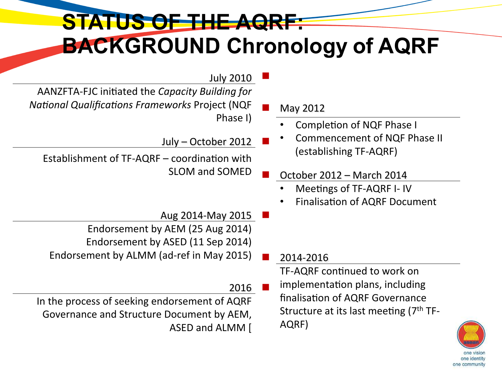#### **STATUS OF THE AQRF: BACKGROUND Chronology of AQRF**

- **July 2010** AANZFTA-FJC initiated the *Capacity Building for National Qualifications Frameworks Project* (NQF Phase I)
	- $July October 2012$ Establishment of  $TF-AQRF$  – coordination with
		- Aug 2014-May 2015 Endorsement by AEM (25 Aug 2014) Endorsement by ASED (11 Sep 2014) Endorsement by ALMM (ad-ref in May 2015) 2014-2016
- 2016 In the process of seeking endorsement of AQRF Governance and Structure Document by AEM, ASED and ALMM [

May 2012

- Completion of NQF Phase I
- Commencement of NQF Phase II (establishing TF-AQRF)
- SLOM and SOMED  $\qquad \qquad$  October 2012 March 2014
	- Meetings of TF-AQRF I- IV
	- Finalisation of AQRF Document

TF-AQRF continued to work on implementation plans, including finalisation of AQRF Governance Structure at its last meeting  $(7<sup>th</sup> TF-$ AQRF) 

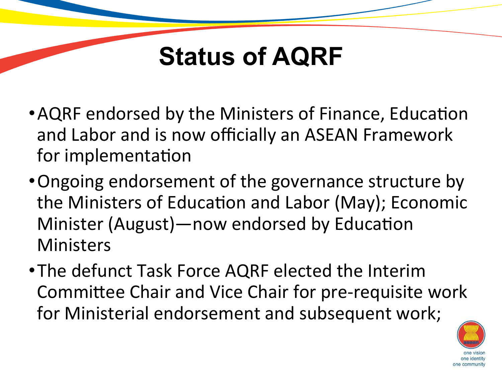## **Status of AQRF**

- AQRF endorsed by the Ministers of Finance, Education and Labor and is now officially an ASEAN Framework for implementation
- Ongoing endorsement of the governance structure by the Ministers of Education and Labor (May); Economic Minister (August)—now endorsed by Education Ministers
- The defunct Task Force AQRF elected the Interim Committee Chair and Vice Chair for pre-requisite work for Ministerial endorsement and subsequent work;

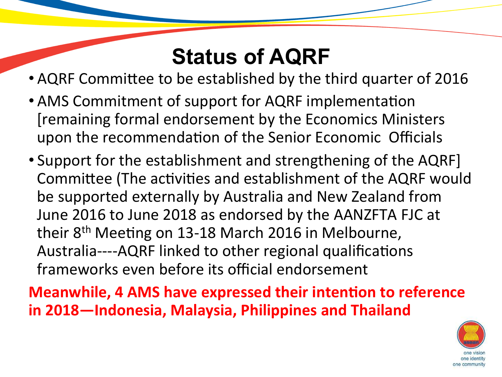### **Status of AQRF**

- AQRF Committee to be established by the third quarter of 2016
- AMS Commitment of support for AQRF implementation [remaining formal endorsement by the Economics Ministers upon the recommendation of the Senior Economic Officials
- Support for the establishment and strengthening of the AQRF] Committee (The activities and establishment of the AQRF would be supported externally by Australia and New Zealand from June 2016 to June 2018 as endorsed by the AANZFTA FJC at their  $8<sup>th</sup>$  Meeting on 13-18 March 2016 in Melbourne, Australia----AQRF linked to other regional qualifications frameworks even before its official endorsement

**Meanwhile, 4 AMS have expressed their intention to reference** in 2018-Indonesia, Malaysia, Philippines and Thailand

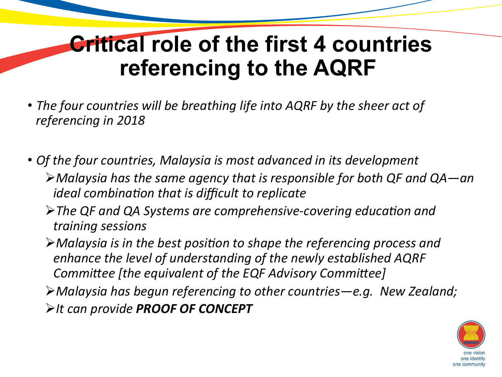### **Critical role of the first 4 countries referencing to the AQRF**

- The four countries will be breathing life into AQRF by the sheer act of *referencing in 2018*
- Of the four countries, Malaysia is most advanced in its development
	- Ø*Malaysia has the same agency that is responsible for both QF and QA—an ideal* combination that is difficult to replicate
	- $\triangleright$  The QF and QA Systems are comprehensive-covering education and *training sessions*
	- $\triangleright$  Malaysia is in the best position to shape the referencing process and enhance the level of understanding of the newly established AQRF *Committee [the equivalent of the EQF Advisory Committee]*
	- **≻Malaysia has begun referencing to other countries—e.g. New Zealand; ≻It can provide PROOF OF CONCEPT**

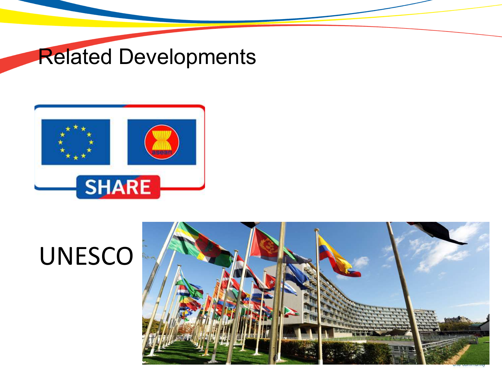### Related Developments



# UNESCO

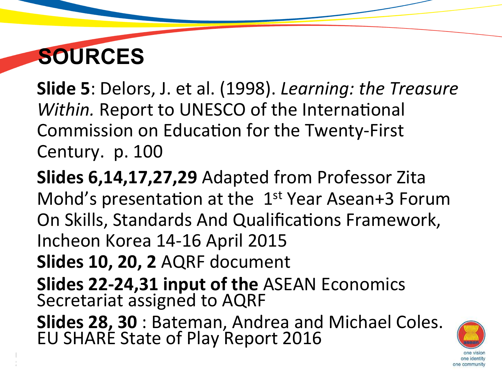## **SOURCES**

**Slide 5**: Delors, J. et al. (1998). *Learning: the Treasure Within.* Report to UNESCO of the International Commission on Education for the Twenty-First Century. p. 100

**Slides 6,14,17,27,29** Adapted from Professor Zita Mohd's presentation at the  $1<sup>st</sup>$  Year Asean+3 Forum On Skills, Standards And Qualifications Framework, Incheon Korea 14-16 April 2015 **Slides 10, 20, 2 AQRF document Slides 22-24,31 input of the ASEAN Economics** Secretariat assigned to AQRF **Slides 28, 30** : Bateman, Andrea and Michael Coles.<br>EU SHARE State of Play Report 2016